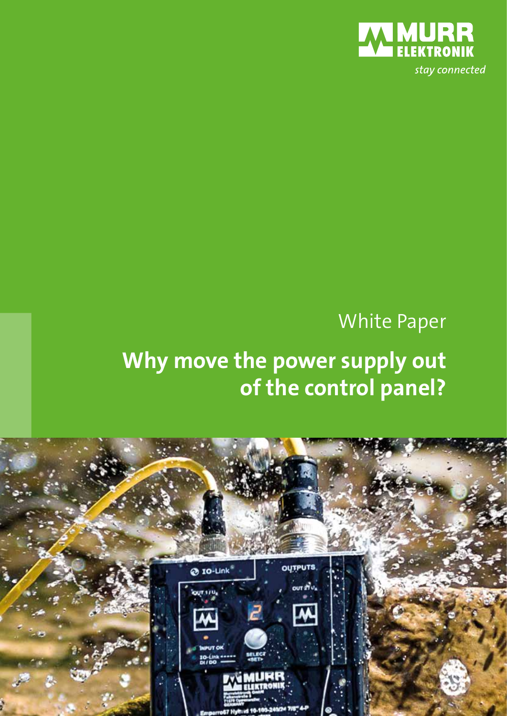

# White Paper

# **Why move the power supply out of the control panel?**

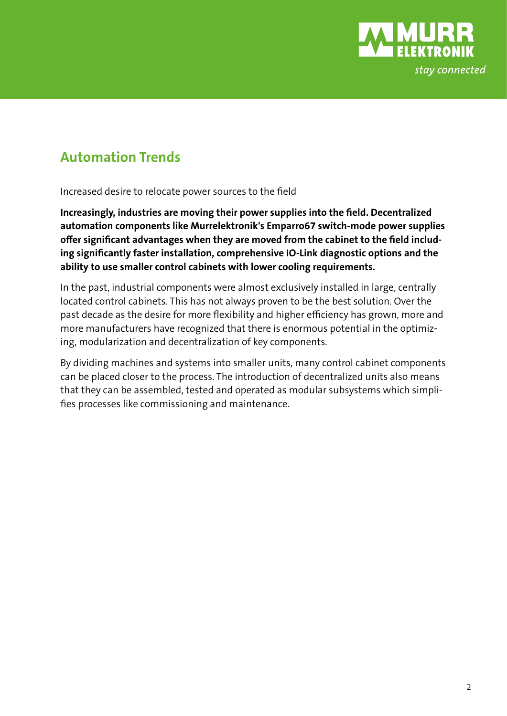

### **Automation Trends**

Increased desire to relocate power sources to the field

**Increasingly, industries are moving their power supplies into the field. Decentralized automation components like Murrelektronik's Emparro67 switch-mode power supplies offer significant advantages when they are moved from the cabinet to the field including significantly faster installation, comprehensive IO-Link diagnostic options and the ability to use smaller control cabinets with lower cooling requirements.**

In the past, industrial components were almost exclusively installed in large, centrally located control cabinets. This has not always proven to be the best solution. Over the past decade as the desire for more flexibility and higher efficiency has grown, more and more manufacturers have recognized that there is enormous potential in the optimizing, modularization and decentralization of key components.

By dividing machines and systems into smaller units, many control cabinet components can be placed closer to the process. The introduction of decentralized units also means that they can be assembled, tested and operated as modular subsystems which simplifies processes like commissioning and maintenance.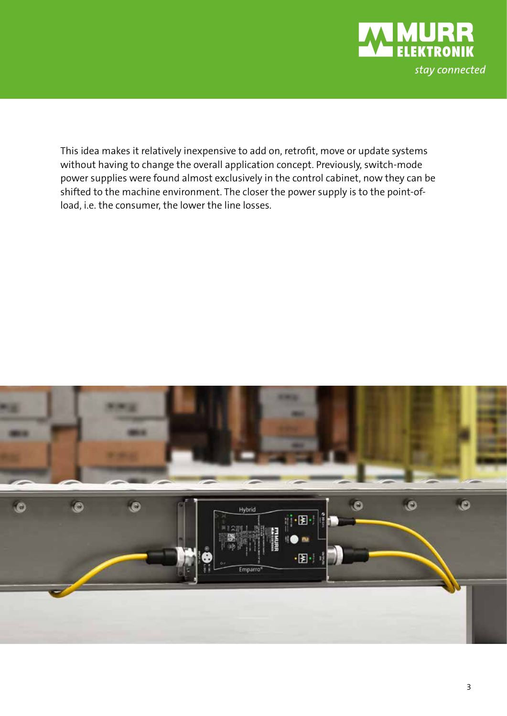

This idea makes it relatively inexpensive to add on, retrofit, move or update systems without having to change the overall application concept. Previously, switch-mode power supplies were found almost exclusively in the control cabinet, now they can be shifted to the machine environment. The closer the power supply is to the point-ofload, i.e. the consumer, the lower the line losses.

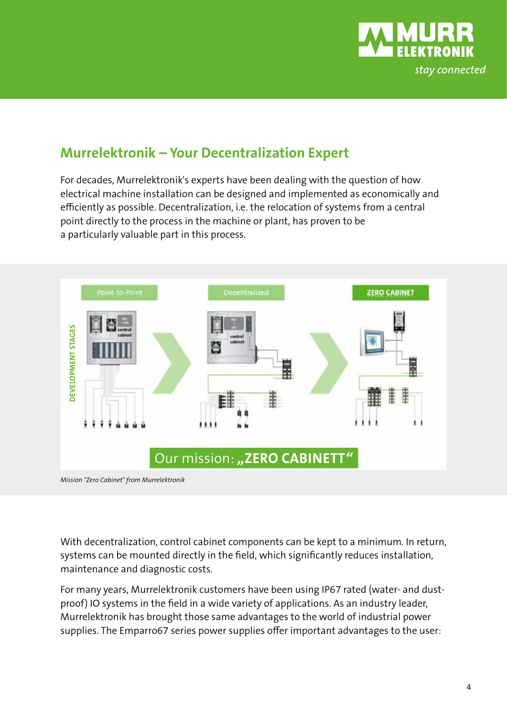

### **Murrelektronik – Your Decentralization Expert**

For decades, Murrelektronik's experts have been dealing with the question of how electrical machine installation can be designed and implemented as economically and efficiently as possible. Decentralization, i.e. the relocation of systems from a central point directly to the process in the machine or plant, has proven to be a particularly valuable part in this process.



With decentralization, control cabinet components can be kept to a minimum. In return, systems can be mounted directly in the field, which significantly reduces installation, maintenance and diagnostic costs.

For many years, Murrelektronik customers have been using IP67 rated (water- and dustproof) IO systems in the field in a wide variety of applications. As an industry leader, Murrelektronik has brought those same advantages to the world of industrial power supplies. The Emparro67 series power supplies offer important advantages to the user: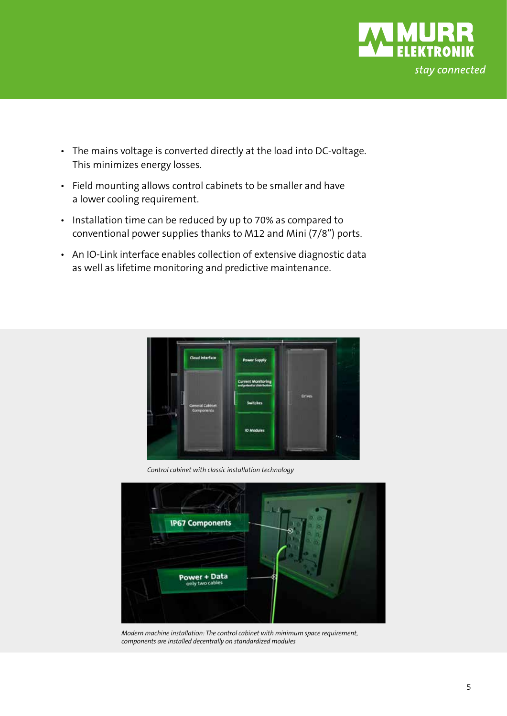

- The mains voltage is converted directly at the load into DC-voltage. This minimizes energy losses.
- Field mounting allows control cabinets to be smaller and have a lower cooling requirement.
- Installation time can be reduced by up to 70% as compared to conventional power supplies thanks to M12 and Mini (7/8") ports.
- An IO-Link interface enables collection of extensive diagnostic data as well as lifetime monitoring and predictive maintenance.



*Control cabinet with classic installation technology* 



*Modern machine installation: The control cabinet with minimum space requirement, components are installed decentrally on standardized modules*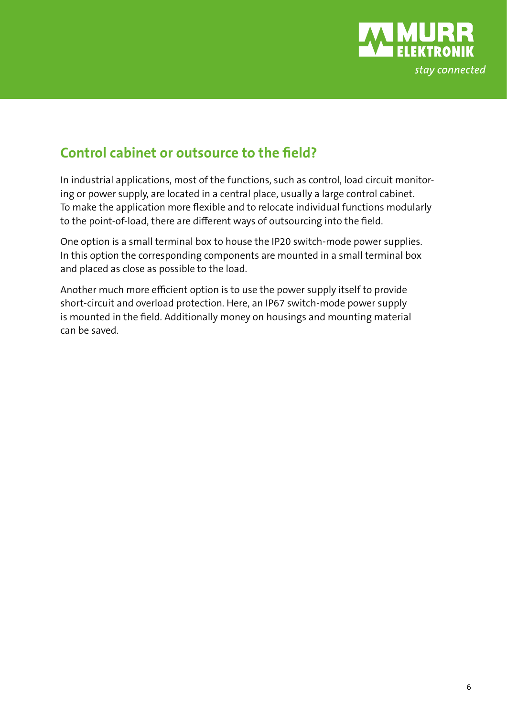

### **Control cabinet or outsource to the field?**

In industrial applications, most of the functions, such as control, load circuit monitoring or power supply, are located in a central place, usually a large control cabinet. To make the application more flexible and to relocate individual functions modularly to the point-of-load, there are different ways of outsourcing into the field.

One option is a small terminal box to house the IP20 switch-mode power supplies. In this option the corresponding components are mounted in a small terminal box and placed as close as possible to the load.

Another much more efficient option is to use the power supply itself to provide short-circuit and overload protection. Here, an IP67 switch-mode power supply is mounted in the field. Additionally money on housings and mounting material can be saved.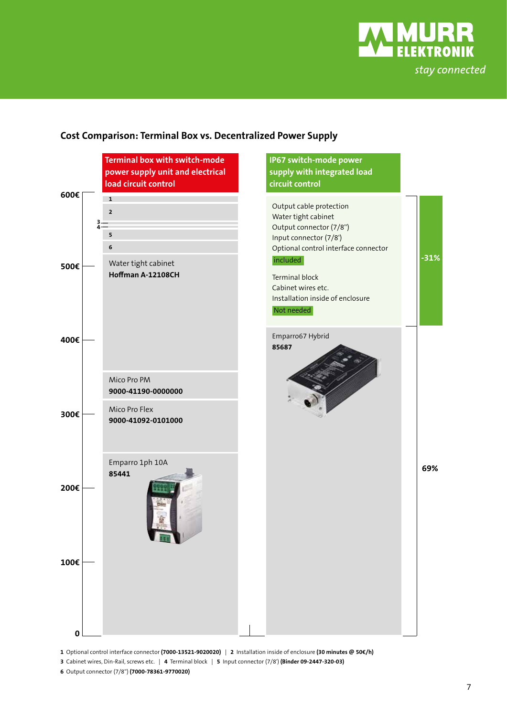

#### **Cost Comparison: Terminal Box vs. Decentralized Power Supply**



**1** Optional control interface connector **(7000-13521-9020020)** | **2** Installation inside of enclosure **(30 minutes @ 50€/h)**

**6** Output connector (7/8'') **(7000-78361-9770020)**

**<sup>3</sup>** Cabinet wires, Din-Rail, screws etc. | **4** Terminal block | **5** Input connector (7/8') **(Binder 09-2447-320-03)**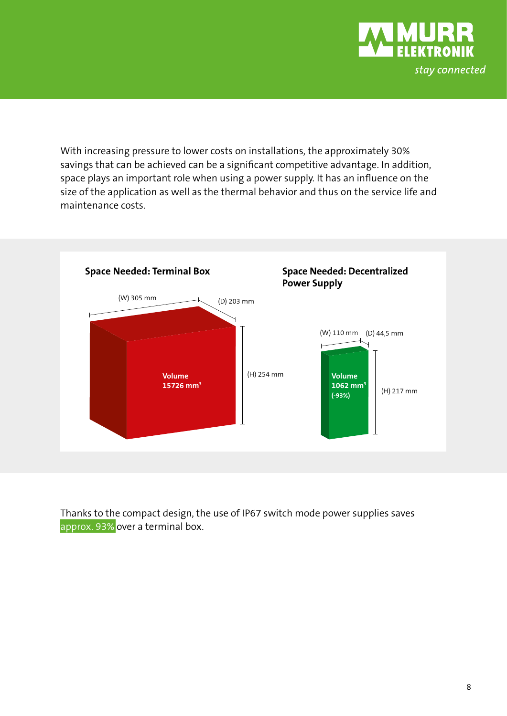

With increasing pressure to lower costs on installations, the approximately 30% savings that can be achieved can be a significant competitive advantage. In addition, space plays an important role when using a power supply. It has an influence on the size of the application as well as the thermal behavior and thus on the service life and maintenance costs.



Thanks to the compact design, the use of IP67 switch mode power supplies saves approx. 93% over a terminal box.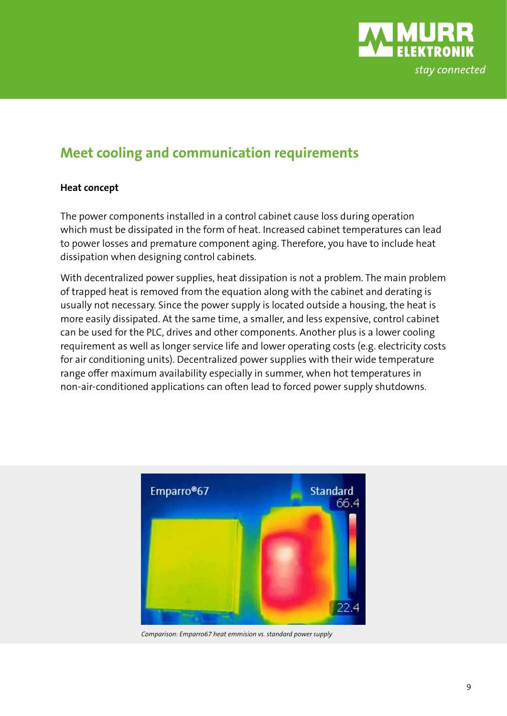

### **Meet cooling and communication requirements**

#### **Heat concept**

The power components installed in a control cabinet cause loss during operation which must be dissipated in the form of heat. Increased cabinet temperatures can lead to power losses and premature component aging. Therefore, you have to include heat dissipation when designing control cabinets.

With decentralized power supplies, heat dissipation is not a problem. The main problem of trapped heat is removed from the equation along with the cabinet and derating is usually not necessary. Since the power supply is located outside a housing, the heat is more easily dissipated. At the same time, a smaller, and less expensive, control cabinet can be used for the PLC, drives and other components. Another plus is a lower cooling requirement as well as longer service life and lower operating costs (e.g. electricity costs for air conditioning units). Decentralized power supplies with their wide temperature range offer maximum availability especially in summer, when hot temperatures in non-air-conditioned applications can often lead to forced power supply shutdowns.



*Comparison: Emparro67 heat emmision vs. standard power supply*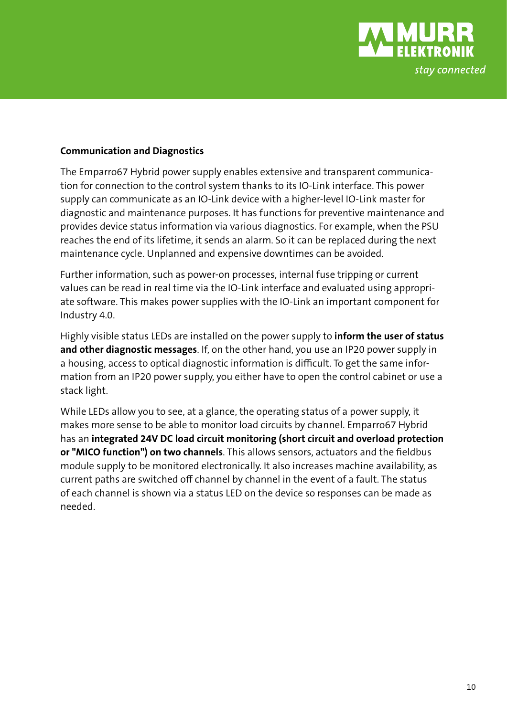

#### **Communication and Diagnostics**

The Emparro67 Hybrid power supply enables extensive and transparent communication for connection to the control system thanks to its IO-Link interface. This power supply can communicate as an IO-Link device with a higher-level IO-Link master for diagnostic and maintenance purposes. It has functions for preventive maintenance and provides device status information via various diagnostics. For example, when the PSU reaches the end of its lifetime, it sends an alarm. So it can be replaced during the next maintenance cycle. Unplanned and expensive downtimes can be avoided.

Further information, such as power-on processes, internal fuse tripping or current values can be read in real time via the IO-Link interface and evaluated using appropriate software. This makes power supplies with the IO-Link an important component for Industry 4.0.

Highly visible status LEDs are installed on the power supply to **inform the user of status and other diagnostic messages**. If, on the other hand, you use an IP20 power supply in a housing, access to optical diagnostic information is difficult. To get the same information from an IP20 power supply, you either have to open the control cabinet or use a stack light.

While LEDs allow you to see, at a glance, the operating status of a power supply, it makes more sense to be able to monitor load circuits by channel. Emparro67 Hybrid has an **integrated 24V DC load circuit monitoring (short circuit and overload protection or "MICO function") on two channels**. This allows sensors, actuators and the fieldbus module supply to be monitored electronically. It also increases machine availability, as current paths are switched off channel by channel in the event of a fault. The status of each channel is shown via a status LED on the device so responses can be made as needed.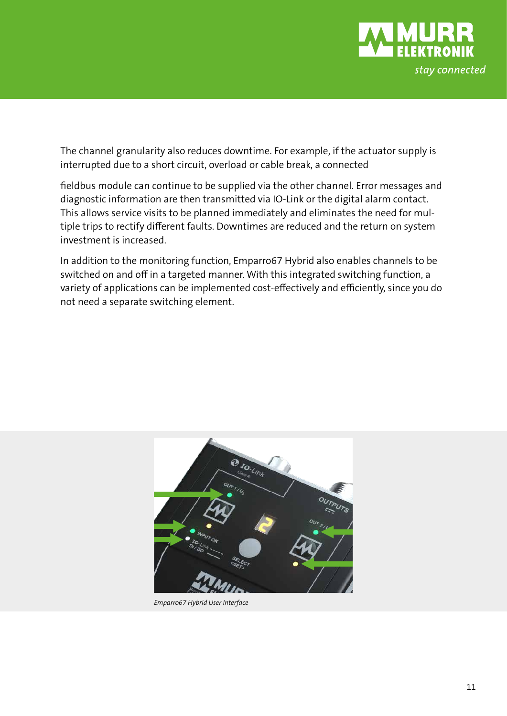

The channel granularity also reduces downtime. For example, if the actuator supply is interrupted due to a short circuit, overload or cable break, a connected

fieldbus module can continue to be supplied via the other channel. Error messages and diagnostic information are then transmitted via IO-Link or the digital alarm contact. This allows service visits to be planned immediately and eliminates the need for multiple trips to rectify different faults. Downtimes are reduced and the return on system investment is increased.

In addition to the monitoring function, Emparro67 Hybrid also enables channels to be switched on and off in a targeted manner. With this integrated switching function, a variety of applications can be implemented cost-effectively and efficiently, since you do not need a separate switching element.



*Emparro67 Hybrid User Interface*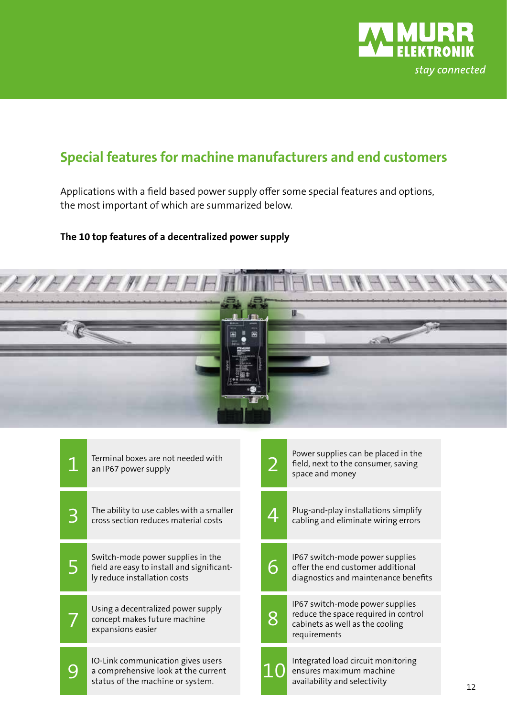

### **Special features for machine manufacturers and end customers**

Applications with a field based power supply offer some special features and options, the most important of which are summarized below.

#### **The 10 top features of a decentralized power supply**



| Terminal boxes are not needed with<br>an IP67 power supply                                                      |                | Power supplies can be placed in the<br>field, next to the consumer, saving<br>space and money                              |
|-----------------------------------------------------------------------------------------------------------------|----------------|----------------------------------------------------------------------------------------------------------------------------|
| The ability to use cables with a smaller<br>cross section reduces material costs                                | 4              | Plug-and-play installations simplify<br>cabling and eliminate wiring errors                                                |
| Switch-mode power supplies in the<br>field are easy to install and significant-<br>ly reduce installation costs |                | IP67 switch-mode power supplies<br>offer the end customer additional<br>diagnostics and maintenance benefits               |
| Using a decentralized power supply<br>concept makes future machine<br>expansions easier                         | $\overline{8}$ | IP67 switch-mode power supplies<br>reduce the space required in control<br>cabinets as well as the cooling<br>requirements |
| IO-Link communication gives users<br>a comprehensive look at the current<br>status of the machine or system.    |                | Integrated load circuit monitoring<br>ensures maximum machine<br>availability and selectivity                              |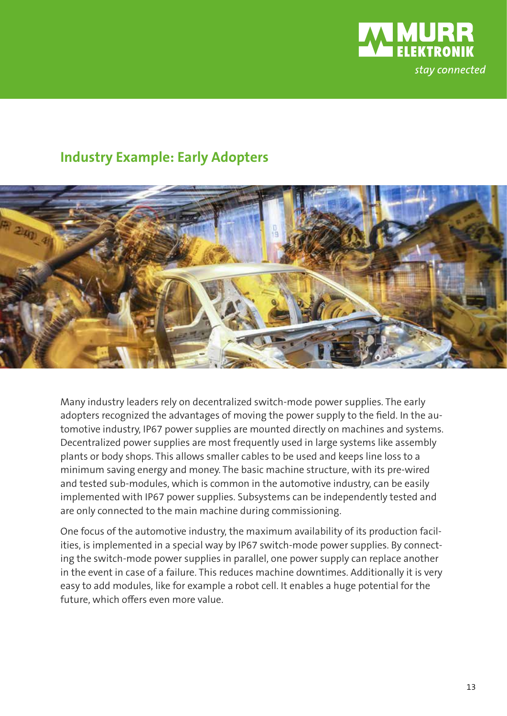

### **Industry Example: Early Adopters**



Many industry leaders rely on decentralized switch-mode power supplies. The early adopters recognized the advantages of moving the power supply to the field. In the automotive industry, IP67 power supplies are mounted directly on machines and systems. Decentralized power supplies are most frequently used in large systems like assembly plants or body shops. This allows smaller cables to be used and keeps line loss to a minimum saving energy and money. The basic machine structure, with its pre-wired and tested sub-modules, which is common in the automotive industry, can be easily implemented with IP67 power supplies. Subsystems can be independently tested and are only connected to the main machine during commissioning.

One focus of the automotive industry, the maximum availability of its production facilities, is implemented in a special way by IP67 switch-mode power supplies. By connecting the switch-mode power supplies in parallel, one power supply can replace another in the event in case of a failure. This reduces machine downtimes. Additionally it is very easy to add modules, like for example a robot cell. It enables a huge potential for the future, which offers even more value.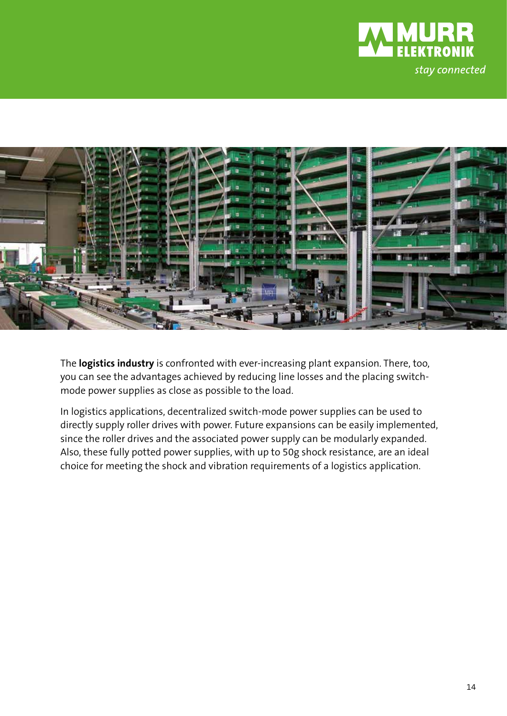



The **logistics industry** is confronted with ever-increasing plant expansion. There, too, you can see the advantages achieved by reducing line losses and the placing switchmode power supplies as close as possible to the load.

In logistics applications, decentralized switch-mode power supplies can be used to directly supply roller drives with power. Future expansions can be easily implemented, since the roller drives and the associated power supply can be modularly expanded. Also, these fully potted power supplies, with up to 50g shock resistance, are an ideal choice for meeting the shock and vibration requirements of a logistics application.